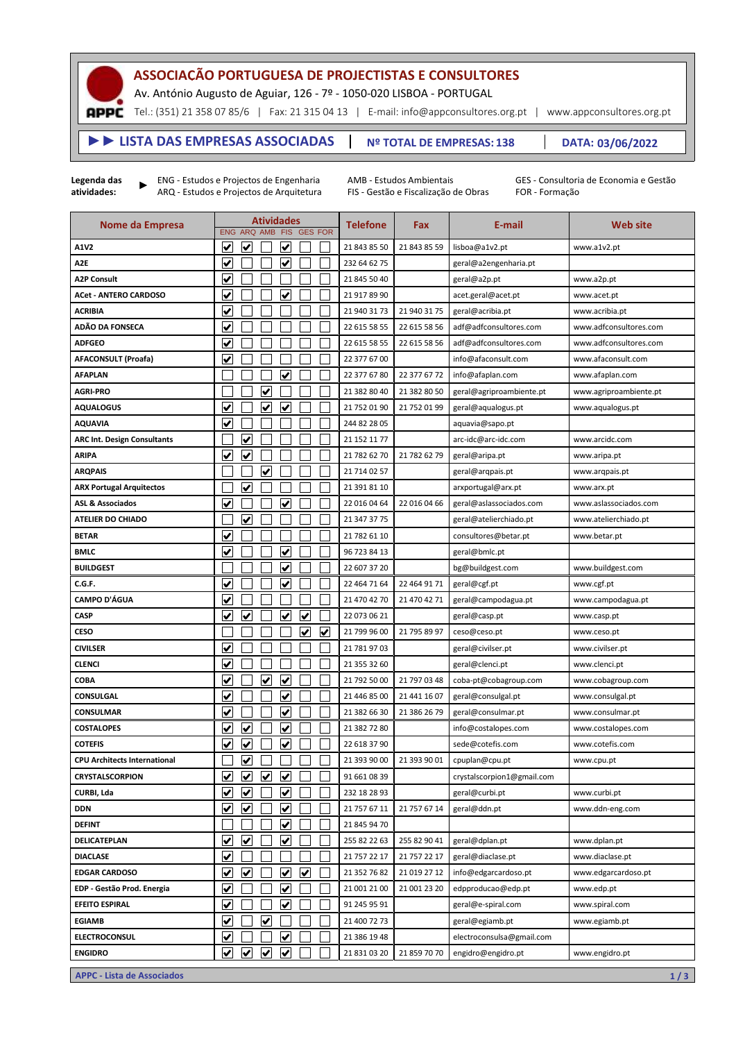## **ASSOCIAÇÃO PORTUGUESA DE PROJECTISTAS E CONSULTORES**

Av. António Augusto de Aguiar, 126 - 7º - 1050-020 LISBOA - PORTUGAL

Tel.: (351) 21 358 07 85/6 | Fax: 21 315 04 13 | E-mail: info@appconsultores.org.pt | www.appconsultores.org.pt

## **138 Nº TOTAL DE EMPRESAS: ►► LISTA DAS EMPRESAS ASSOCIADAS DATA: 03/06/2022**

**Legenda das atividades:**

**APPC** 

►

ENG - Estudos e Projectos de Engenharia ARQ - Estudos e Projectos de Arquitetura AMB - Estudos Ambientais FIS - Gestão e Fiscalização de Obras GES - Consultoria de Economia e Gestão FOR - Formação

| Nome da Empresa                     |                         | ENG ARQ AMB             | <b>Atividades</b>       |                         |                         | FIS GES FOR | <b>Telefone</b> | Fax          | E-mail                     | <b>Web site</b>        |
|-------------------------------------|-------------------------|-------------------------|-------------------------|-------------------------|-------------------------|-------------|-----------------|--------------|----------------------------|------------------------|
| A1V2                                | V                       | ✔                       |                         | ✔                       |                         |             | 21 843 85 50    | 21 843 85 59 | lisboa@a1v2.pt             | www.a1v2.pt            |
| A <sub>2E</sub>                     | $\blacktriangledown$    |                         |                         | <u>V</u>                |                         |             | 232 64 62 75    |              | geral@a2engenharia.pt      |                        |
| <b>A2P Consult</b>                  | $\checkmark$            |                         |                         |                         |                         |             | 21 845 50 40    |              | geral@a2p.pt               | www.a2p.pt             |
| <b>ACet - ANTERO CARDOSO</b>        | ✔                       |                         |                         | ✔                       |                         |             | 21 917 89 90    |              | acet.geral@acet.pt         | www.acet.pt            |
| <b>ACRIBIA</b>                      | $\overline{\mathbf{v}}$ |                         |                         |                         |                         |             | 21 940 31 73    | 21 940 31 75 | geral@acribia.pt           | www.acribia.pt         |
| ADÃO DA FONSECA                     | V                       |                         |                         |                         |                         |             | 22 615 58 55    | 22 615 58 56 | adf@adfconsultores.com     | www.adfconsultores.com |
| <b>ADFGEO</b>                       | V                       |                         |                         |                         |                         |             | 22 615 58 55    | 22 615 58 56 | adf@adfconsultores.com     | www.adfconsultores.com |
| <b>AFACONSULT (Proafa)</b>          | $\overline{\mathbf{v}}$ |                         |                         |                         |                         |             | 22 377 67 00    |              | info@afaconsult.com        | www.afaconsult.com     |
| <b>AFAPLAN</b>                      |                         |                         |                         | ✔                       |                         |             | 22 377 67 80    | 22 377 67 72 | info@afaplan.com           | www.afaplan.com        |
| <b>AGRI-PRO</b>                     |                         |                         | ⊻                       |                         |                         |             | 21 382 80 40    | 21 382 80 50 | geral@agriproambiente.pt   | www.agriproambiente.pt |
| <b>AQUALOGUS</b>                    | $\overline{\mathbf{v}}$ |                         | $\overline{\mathbf{v}}$ | ٧                       |                         |             | 21 752 01 90    | 21 752 01 99 | geral@aqualogus.pt         | www.aqualogus.pt       |
| <b>AQUAVIA</b>                      | ✔                       |                         |                         |                         |                         |             | 244 82 28 05    |              | aquavia@sapo.pt            |                        |
| <b>ARC Int. Design Consultants</b>  |                         | V                       |                         |                         |                         |             | 21 152 11 77    |              | arc-idc@arc-idc.com        | www.arcidc.com         |
| <b>ARIPA</b>                        | $\blacktriangledown$    | $\overline{\mathbf{v}}$ |                         |                         |                         |             | 21 782 62 70    | 21 782 62 79 | geral@aripa.pt             | www.aripa.pt           |
| <b>ARQPAIS</b>                      |                         |                         | V                       |                         |                         |             | 21 714 02 57    |              | geral@arqpais.pt           | www.arqpais.pt         |
| <b>ARX Portugal Arquitectos</b>     |                         | $\checkmark$            |                         |                         |                         |             | 21 391 81 10    |              | arxportugal@arx.pt         | www.arx.pt             |
| <b>ASL &amp; Associados</b>         | $\overline{\mathbf{v}}$ |                         |                         | $\overline{\checkmark}$ |                         |             | 22 016 04 64    | 22 016 04 66 | geral@aslassociados.com    | www.aslassociados.com  |
| ATELIER DO CHIADO                   |                         | $\overline{\mathbf{v}}$ |                         |                         |                         |             | 21 347 37 75    |              | geral@atelierchiado.pt     | www.atelierchiado.pt   |
| <b>BETAR</b>                        | $\blacktriangledown$    |                         |                         |                         |                         |             | 21 782 61 10    |              | consultores@betar.pt       | www.betar.pt           |
| <b>BMLC</b>                         | V                       |                         |                         | ✔                       |                         |             | 96 723 84 13    |              | geral@bmlc.pt              |                        |
| <b>BUILDGEST</b>                    |                         |                         |                         | $\overline{\mathbf{v}}$ |                         |             | 22 607 37 20    |              | bg@buildgest.com           | www.buildgest.com      |
| C.G.F.                              | $\overline{\mathbf{v}}$ |                         |                         | ✔                       |                         |             | 22 464 71 64    | 22 464 91 71 | geral@cgf.pt               | www.cgf.pt             |
| <b>CAMPO D'ÁGUA</b>                 | $\overline{\mathbf{v}}$ |                         |                         |                         |                         |             | 21 470 42 70    | 21 470 42 71 | geral@campodagua.pt        | www.campodagua.pt      |
| <b>CASP</b>                         | $\checkmark$            | $\overline{\mathbf{v}}$ |                         | ✔                       | $\overline{\mathbf{v}}$ |             | 22 073 06 21    |              | geral@casp.pt              | www.casp.pt            |
| <b>CESO</b>                         |                         |                         |                         |                         | ✔                       | ⊻           | 21 799 96 00    | 21 795 89 97 | ceso@ceso.pt               | www.ceso.pt            |
| <b>CIVILSER</b>                     | $\blacktriangledown$    |                         |                         |                         |                         |             | 21 781 97 03    |              | geral@civilser.pt          | www.civilser.pt        |
| <b>CLENCI</b>                       | ✔                       |                         |                         |                         |                         |             | 21 355 32 60    |              | geral@clenci.pt            | www.clenci.pt          |
| <b>COBA</b>                         | $\overline{\mathbf{v}}$ |                         | $\overline{\mathbf{v}}$ | $\blacktriangleright$   |                         |             | 21 792 50 00    | 21 797 03 48 | coba-pt@cobagroup.com      | www.cobagroup.com      |
| <b>CONSULGAL</b>                    | V                       |                         |                         | $\overline{\mathbf{v}}$ |                         |             | 21 446 85 00    | 21 441 16 07 | geral@consulgal.pt         | www.consulgal.pt       |
| <b>CONSULMAR</b>                    | ⊻                       |                         |                         | ✔                       |                         |             | 21 382 66 30    | 21 386 26 79 | geral@consulmar.pt         | www.consulmar.pt       |
| <b>COSTALOPES</b>                   | ⊻                       | ⊻                       |                         | ✔                       |                         |             | 21 382 72 80    |              | info@costalopes.com        | www.costalopes.com     |
| <b>COTEFIS</b>                      | V                       | V                       |                         | ✔                       |                         |             | 22 618 37 90    |              | sede@cotefis.com           | www.cotefis.com        |
| <b>CPU Architects International</b> |                         | ⊻                       |                         |                         |                         |             | 21 393 90 00    | 21 393 90 01 | cpuplan@cpu.pt             | www.cpu.pt             |
| <b>CRYSTALSCORPION</b>              | $\blacktriangledown$    | $\blacktriangledown$    | $\blacktriangledown$    | $\blacktriangledown$    |                         |             | 91 661 08 39    |              | crystalscorpion1@gmail.com |                        |
| CURBI, Lda                          | ⊻                       | $\blacktriangledown$    |                         | ✔                       |                         |             | 232 18 28 93    |              | geral@curbi.pt             | www.curbi.pt           |
| <b>DDN</b>                          | $\overline{\mathbf{v}}$ | $\overline{\mathbf{v}}$ |                         | $\overline{\mathbf{v}}$ |                         |             | 21 757 67 11    | 21 757 67 14 | geral@ddn.pt               | www.ddn-eng.com        |
| <b>DEFINT</b>                       |                         |                         |                         | $\blacklozenge$         |                         |             | 21 845 94 70    |              |                            |                        |
| DELICATEPLAN                        | ⊻                       | ⊻                       |                         | ✔                       |                         |             | 255 82 22 63    | 255 82 90 41 | geral@dplan.pt             | www.dplan.pt           |
| <b>DIACLASE</b>                     | $\blacklozenge$         |                         |                         |                         |                         |             | 21 757 22 17    | 21 757 22 17 | geral@diaclase.pt          | www.diaclase.pt        |
| <b>EDGAR CARDOSO</b>                | $\overline{\mathbf{v}}$ | ⊻                       |                         | $\checkmark$            | ⊻                       |             | 21 352 76 82    | 21 019 27 12 | info@edgarcardoso.pt       | www.edgarcardoso.pt    |
| EDP - Gestão Prod. Energia          | $\overline{\mathbf{v}}$ |                         |                         | $\overline{\mathbf{v}}$ |                         |             | 21 001 21 00    | 21 001 23 20 | edpproducao@edp.pt         | www.edp.pt             |
| <b>EFEITO ESPIRAL</b>               | $\blacktriangledown$    |                         |                         | $\overline{\mathbf{v}}$ |                         |             | 91 245 95 91    |              | geral@e-spiral.com         | www.spiral.com         |
| <b>EGIAMB</b>                       | ⊻                       |                         | V                       |                         |                         |             | 21 400 72 73    |              | geral@egiamb.pt            | www.egiamb.pt          |
| <b>ELECTROCONSUL</b>                | $\checkmark$            |                         |                         | $\blacktriangledown$    |                         |             | 21 386 19 48    |              | electroconsulsa@gmail.com  |                        |
| <b>ENGIDRO</b>                      | $\overline{\mathbf{v}}$ | $\blacktriangledown$    | $\blacktriangledown$    | $\blacktriangledown$    |                         |             | 21 831 03 20    | 21 859 70 70 | engidro@engidro.pt         | www.engidro.pt         |

**APPC - Lista de Associados 1 / 3**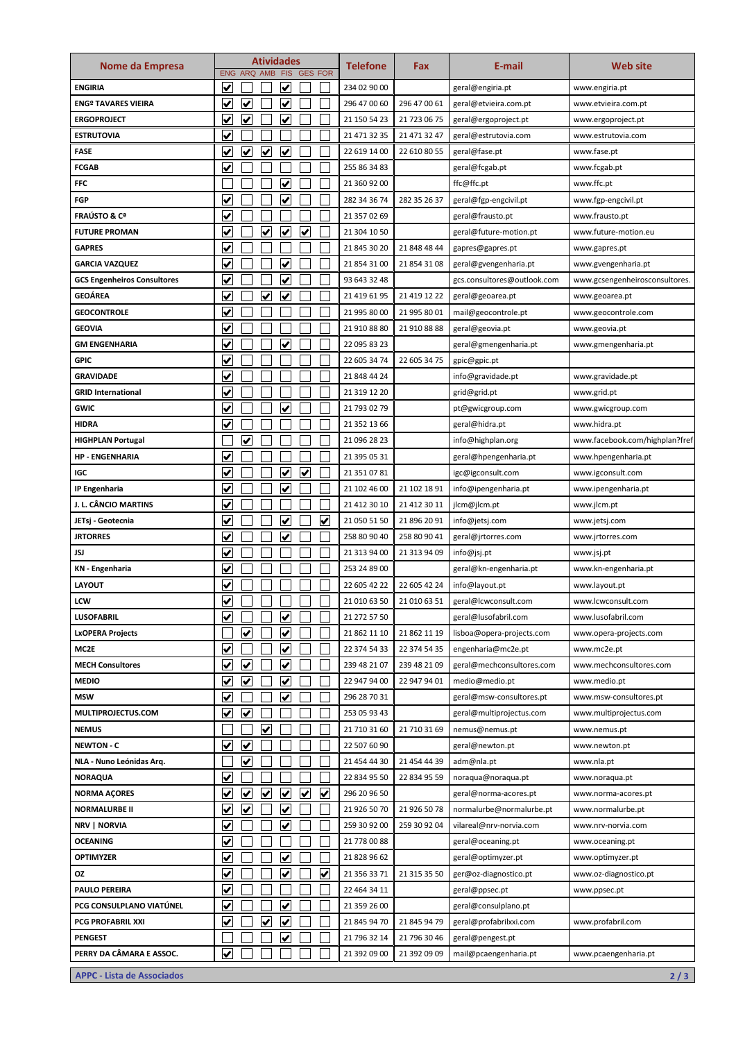| Nome da Empresa                          | <b>Atividades</b>               |                         |                         |                         |                         |                         | <b>Telefone</b><br>Fax | E-mail       | <b>Web site</b>             |                                |
|------------------------------------------|---------------------------------|-------------------------|-------------------------|-------------------------|-------------------------|-------------------------|------------------------|--------------|-----------------------------|--------------------------------|
|                                          |                                 |                         |                         | ENG ARQ AMB FIS         |                         | <b>GES FOR</b>          |                        |              |                             |                                |
| <b>ENGIRIA</b>                           | <u>V</u>                        |                         |                         | V                       |                         |                         | 234 02 90 00           |              | geral@engiria.pt            | www.engiria.pt                 |
| ENGº TAVARES VIEIRA                      | $\checkmark$                    | $\overline{\mathbf{v}}$ |                         | $\overline{\mathbf{v}}$ |                         |                         | 296 47 00 60           | 296 47 00 61 | geral@etvieira.com.pt       | www.etvieira.com.pt            |
| ERGOPROJECT                              | V                               | ✓                       |                         | V                       |                         |                         | 21 150 54 23           | 21 723 06 75 | geral@ergoproject.pt        | www.ergoproject.pt             |
| ESTRUTOVIA                               | $\overline{\mathbf{v}}$         |                         |                         |                         |                         |                         | 21 471 32 35           | 21 471 32 47 | geral@estrutovia.com        | www.estrutovia.com             |
| <b>FASE</b>                              | $\blacktriangledown$            | $\blacklozenge$         | $\blacktriangledown$    | V                       |                         |                         | 22 619 14 00           | 22 610 80 55 | geral@fase.pt               | www.fase.pt                    |
| <b>FCGAB</b>                             | $\blacktriangledown$            |                         |                         |                         |                         |                         | 255 86 34 83           |              | geral@fcgab.pt              | www.fcgab.pt                   |
| FFC                                      |                                 |                         |                         | V                       |                         |                         | 21 360 92 00           |              | ffc@ffc.pt                  | www.ffc.pt                     |
| FGP                                      | V                               |                         |                         | ✔                       |                         |                         | 282 34 36 74           | 282 35 26 37 | geral@fgp-engcivil.pt       | www.fgp-engcivil.pt            |
| FRAÚSTO & Cª                             | $\overline{\mathbf{v}}$         |                         |                         |                         |                         |                         | 21 357 02 69           |              | geral@frausto.pt            | www.frausto.pt                 |
| <b>FUTURE PROMAN</b>                     | $\overline{\mathbf{v}}$         |                         | $\overline{\mathbf{v}}$ | V                       | $\overline{\mathbf{v}}$ |                         | 21 304 10 50           |              | geral@future-motion.pt      | www.future-motion.eu           |
| <b>GAPRES</b>                            | $\overline{\mathbf{v}}$         |                         |                         |                         |                         |                         | 21 845 30 20           | 21 848 48 44 | gapres@gapres.pt            | www.gapres.pt                  |
| <b>GARCIA VAZQUEZ</b>                    | $\checkmark$                    |                         |                         | $\checkmark$            |                         |                         | 21 854 31 00           | 21 854 31 08 | geral@gvengenharia.pt       | www.gvengenharia.pt            |
| <b>GCS Engenheiros Consultores</b>       | $\overline{\blacktriangledown}$ |                         |                         | V                       |                         |                         | 93 643 32 48           |              | gcs.consultores@outlook.com | www.gcsengenheirosconsultores. |
| GEOÁREA                                  | $\checkmark$                    |                         | ✔                       | ✔                       |                         |                         | 21 419 61 95           | 21 419 12 22 | geral@geoarea.pt            | www.geoarea.pt                 |
| <b>GEOCONTROLE</b>                       | V                               |                         |                         |                         |                         |                         | 21 995 80 00           | 21 995 80 01 | mail@geocontrole.pt         | www.geocontrole.com            |
| GEOVIA                                   | $\overline{\mathbf{v}}$         |                         |                         |                         |                         |                         | 21 910 88 80           | 21 910 88 88 | geral@geovia.pt             | www.geovia.pt                  |
| <b>GM ENGENHARIA</b>                     | V                               |                         |                         | V                       |                         |                         | 22 095 83 23           |              | geral@gmengenharia.pt       | www.gmengenharia.pt            |
| GPIC                                     | V                               |                         |                         |                         |                         |                         | 22 605 34 74           | 22 605 34 75 | gpic@gpic.pt                |                                |
| GRAVIDADE                                | ⊽                               |                         |                         |                         |                         |                         | 21 848 44 24           |              | info@gravidade.pt           | www.gravidade.pt               |
| <b>GRID International</b>                | V                               |                         |                         |                         |                         |                         | 21 319 12 20           |              | grid@grid.pt                | www.grid.pt                    |
| GWIC                                     | ⊻                               |                         |                         | V                       |                         |                         | 21 793 02 79           |              | pt@gwicgroup.com            | www.gwicgroup.com              |
| <b>HIDRA</b>                             | $\blacktriangledown$            |                         |                         |                         |                         |                         | 21 352 13 66           |              | geral@hidra.pt              | www.hidra.pt                   |
| <b>HIGHPLAN Portugal</b>                 |                                 | ✔                       |                         |                         |                         |                         | 21 096 28 23           |              | info@highplan.org           | www.facebook.com/highplan?fref |
| <b>HP - ENGENHARIA</b>                   | $\overline{\mathbf{v}}$         |                         |                         |                         |                         |                         | 21 395 05 31           |              | geral@hpengenharia.pt       | www.hpengenharia.pt            |
| IGC                                      | $\overline{\mathbf{v}}$         |                         |                         | V                       | $\overline{\mathbf{v}}$ |                         | 21 351 07 81           |              | igc@igconsult.com           | www.igconsult.com              |
| IP Engenharia                            | V                               |                         |                         | V                       |                         |                         | 21 102 46 00           | 21 102 18 91 | info@ipengenharia.pt        | www.ipengenharia.pt            |
| J. L. CÂNCIO MARTINS                     | $\checkmark$                    |                         |                         |                         |                         |                         | 21 412 30 10           | 21 412 30 11 | jlcm@jlcm.pt                | www.jlcm.pt                    |
| JETsj - Geotecnia                        | <u>V</u>                        |                         |                         | V                       |                         | $\overline{\mathbf{v}}$ | 21 050 51 50           | 21 896 20 91 | info@jetsj.com              | www.jetsj.com                  |
| <b>JRTORRES</b>                          | $\blacktriangledown$            |                         |                         | $\overline{\mathbf{v}}$ |                         |                         | 258 80 90 40           | 258 80 90 41 | geral@jrtorres.com          | www.jrtorres.com               |
| JSJ                                      | ⊻                               |                         |                         |                         |                         |                         | 21 313 94 00           | 21 313 94 09 | info@jsj.pt                 | www.jsj.pt                     |
| KN - Engenharia                          | V                               |                         |                         |                         |                         |                         | 253 24 89 00           |              | geral@kn-engenharia.pt      | www.kn-engenharia.pt           |
| <b>LAYOUT</b>                            | V                               |                         |                         |                         |                         |                         | 22 605 42 22           | 22 605 42 24 | info@layout.pt              | www.layout.pt                  |
| LCW                                      | V                               |                         |                         |                         |                         |                         | 21 010 63 50           | 21 010 63 51 | geral@lcwconsult.com        | www.lcwconsult.com             |
| LUSOFABRIL                               | $\overline{\mathbf{v}}$         |                         |                         | <u>V</u>                |                         |                         | 21 272 57 50           |              | geral@lusofabril.com        | www.lusofabril.com             |
| <b>LxOPERA Projects</b>                  |                                 | $\checkmark$            |                         | $\overline{\mathbf{v}}$ |                         |                         | 21 862 11 10           | 21 862 11 19 | lisboa@opera-projects.com   | www.opera-projects.com         |
| MC2E                                     | $\overline{\mathbf{v}}$         |                         |                         | ⊻                       |                         |                         | 22 374 54 33           | 22 374 54 35 | engenharia@mc2e.pt          | www.mc2e.pt                    |
| <b>MECH Consultores</b>                  | V                               | $\checkmark$            |                         | V                       |                         |                         | 239 48 21 07           | 239 48 21 09 | geral@mechconsultores.com   | www.mechconsultores.com        |
| MEDIO                                    | V                               | V                       |                         | V                       |                         |                         | 22 947 94 00           | 22 947 94 01 | medio@medio.pt              | www.medio.pt                   |
| MSW                                      | $\overline{\mathbf{v}}$         |                         |                         | $\overline{\mathbf{v}}$ |                         |                         | 296 28 70 31           |              | geral@msw-consultores.pt    | www.msw-consultores.pt         |
| <b>MULTIPROJECTUS.COM</b>                | ⊻                               | ✔                       |                         |                         |                         |                         | 253 05 93 43           |              | geral@multiprojectus.com    | www.multiprojectus.com         |
| <b>NEMUS</b>                             |                                 |                         | ⊻                       |                         |                         |                         | 21 710 31 60           | 21 710 31 69 | nemus@nemus.pt              | www.nemus.pt                   |
| <b>NEWTON - C</b>                        | $\blacktriangledown$            | $\blacklozenge$         |                         |                         |                         |                         | 22 507 60 90           |              | geral@newton.pt             | www.newton.pt                  |
| NLA - Nuno Leónidas Arq.                 |                                 | ✓                       |                         |                         |                         |                         | 21 454 44 30           | 21 454 44 39 | adm@nla.pt                  | www.nla.pt                     |
| NORAQUA                                  | $\overline{\mathbf{v}}$         |                         |                         |                         |                         |                         | 22 834 95 50           | 22 834 95 59 | noraqua@noraqua.pt          | www.noraqua.pt                 |
| NORMA AÇORES                             | ⊻                               | $\checkmark$            | $\overline{\mathbf{v}}$ | <u>V</u>                | $\overline{\mathbf{v}}$ | $\overline{\mathbf{v}}$ | 296 20 96 50           |              | geral@norma-acores.pt       | www.norma-acores.pt            |
| NORMALURBE II                            | V                               | ⊻                       |                         | ⊻                       |                         |                         | 21 926 50 70           | 21 926 50 78 | normalurbe@normalurbe.pt    | www.normalurbe.pt              |
| NRV   NORVIA                             | $\overline{\mathbf{v}}$         |                         |                         | <u>V</u>                |                         |                         | 259 30 92 00           | 259 30 92 04 | vilareal@nrv-norvia.com     | www.nrv-norvia.com             |
| OCEANING                                 | $\overline{\mathbf{v}}$         |                         |                         |                         |                         |                         | 21 778 00 88           |              | geral@oceaning.pt           | www.oceaning.pt                |
| OPTIMYZER                                | $\blacktriangledown$            |                         |                         | $\checkmark$            |                         |                         | 21 828 96 62           |              | geral@optimyzer.pt          | www.optimyzer.pt               |
| ΟZ                                       | $\overline{\mathbf{v}}$         |                         |                         | $\checkmark$            |                         | $\overline{\mathbf{v}}$ | 21 356 33 71           | 21 315 35 50 | ger@oz-diagnostico.pt       | www.oz-diagnostico.pt          |
| PAULO PEREIRA                            | V                               |                         |                         |                         |                         |                         | 22 464 34 11           |              | geral@ppsec.pt              | www.ppsec.pt                   |
| PCG CONSULPLANO VIATÚNEL                 | $\overline{\mathbf{v}}$         |                         |                         | $\overline{\mathbf{v}}$ |                         |                         | 21 359 26 00           |              | geral@consulplano.pt        |                                |
| PCG PROFABRIL XXI                        | $\overline{\mathbf{v}}$         |                         | $\overline{\mathbf{v}}$ | <u>V</u>                |                         |                         | 21 845 94 70           | 21 845 94 79 | geral@profabrilxxi.com      | www.profabril.com              |
| <b>PENGEST</b>                           |                                 |                         |                         | $\overline{\mathbf{v}}$ |                         |                         | 21 796 32 14           | 21 796 30 46 | geral@pengest.pt            |                                |
| PERRY DA CÂMARA E ASSOC.                 | $\blacklozenge$                 |                         |                         |                         |                         |                         | 21 392 09 00           | 21 392 09 09 | mail@pcaengenharia.pt       | www.pcaengenharia.pt           |
| <b>APPC - Lista de Associados</b><br>2/3 |                                 |                         |                         |                         |                         |                         |                        |              |                             |                                |